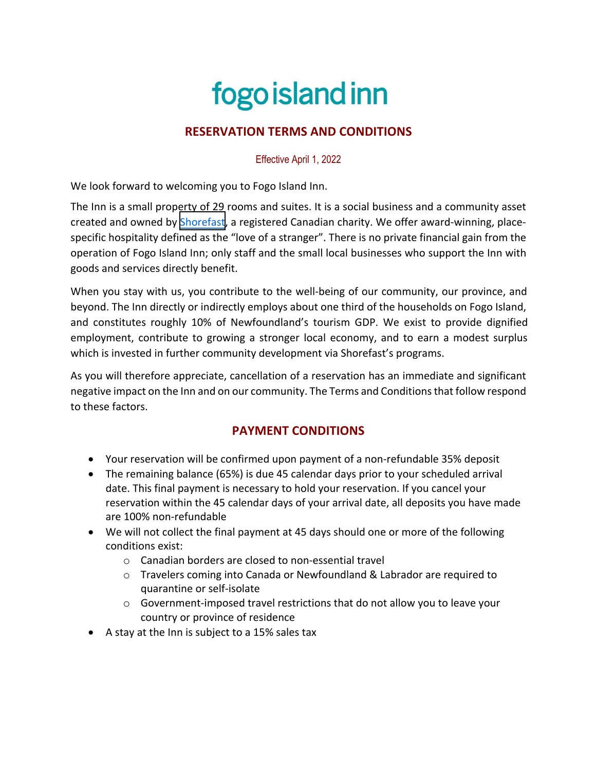# fogo island inn

## **RESERVATION TERMS AND CONDITIONS**

Effective April 1, 2022

We look forward to welcoming you to Fogo Island Inn.

The Inn is a small property of 29 rooms and suites. It is a social business and a community asset created and owned by [Shorefast](https://shorefast.org/), a registered Canadian charity. We offer award-winning, placespecific hospitality defined as the "love of a stranger". There is no private financial gain from the operation of Fogo Island Inn; only staff and the small local businesses who support the Inn with goods and services directly benefit.

When you stay with us, you contribute to the well-being of our community, our province, and beyond. The Inn directly or indirectly employs about one third of the households on Fogo Island, and constitutes roughly 10% of Newfoundland's tourism GDP. We exist to provide dignified employment, contribute to growing a stronger local economy, and to earn a modest surplus which is invested in further community development via Shorefast's programs.

As you will therefore appreciate, cancellation of a reservation has an immediate and significant negative impact on the Inn and on our community. The Terms and Conditions that follow respond to these factors.

### **PAYMENT CONDITIONS**

- Your reservation will be confirmed upon payment of a non-refundable 35% deposit
- The remaining balance (65%) is due 45 calendar days prior to your scheduled arrival date. This final payment is necessary to hold your reservation. If you cancel your reservation within the 45 calendar days of your arrival date, all deposits you have made are 100% non-refundable
- We will not collect the final payment at 45 days should one or more of the following conditions exist:
	- o Canadian borders are closed to non-essential travel
	- o Travelers coming into Canada or Newfoundland & Labrador are required to quarantine or self-isolate
	- o Government-imposed travel restrictions that do not allow you to leave your country or province of residence
- A stay at the Inn is subject to a 15% sales tax